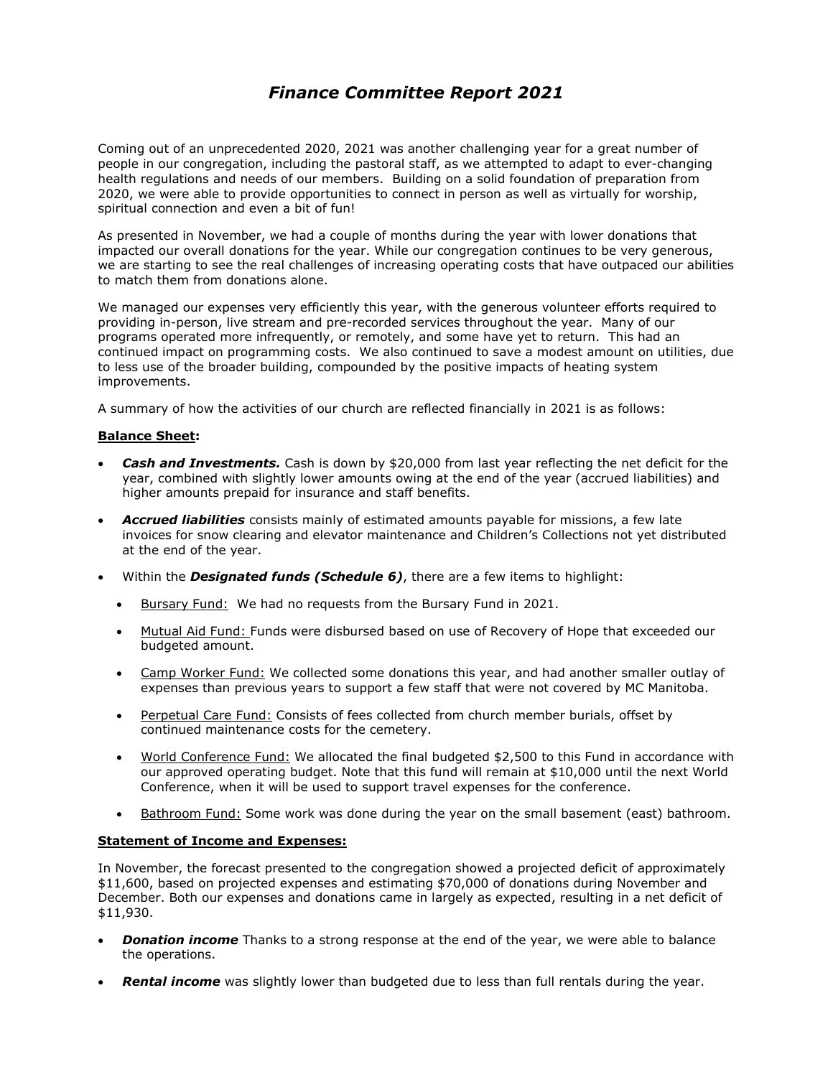### *Finance Committee Report 2021*

Coming out of an unprecedented 2020, 2021 was another challenging year for a great number of people in our congregation, including the pastoral staff, as we attempted to adapt to ever-changing health regulations and needs of our members. Building on a solid foundation of preparation from 2020, we were able to provide opportunities to connect in person as well as virtually for worship, spiritual connection and even a bit of fun!

As presented in November, we had a couple of months during the year with lower donations that impacted our overall donations for the year. While our congregation continues to be very generous, we are starting to see the real challenges of increasing operating costs that have outpaced our abilities to match them from donations alone.

We managed our expenses very efficiently this year, with the generous volunteer efforts required to providing in-person, live stream and pre-recorded services throughout the year. Many of our programs operated more infrequently, or remotely, and some have yet to return. This had an continued impact on programming costs. We also continued to save a modest amount on utilities, due to less use of the broader building, compounded by the positive impacts of heating system improvements.

A summary of how the activities of our church are reflected financially in 2021 is as follows:

### **Balance Sheet:**

- **Cash and Investments.** Cash is down by \$20,000 from last year reflecting the net deficit for the year, combined with slightly lower amounts owing at the end of the year (accrued liabilities) and higher amounts prepaid for insurance and staff benefits.
- *Accrued liabilities* consists mainly of estimated amounts payable for missions, a few late invoices for snow clearing and elevator maintenance and Children's Collections not yet distributed at the end of the year.
- Within the *Designated funds (Schedule 6)*, there are a few items to highlight:
	- **Bursary Fund:** We had no requests from the Bursary Fund in 2021.
	- Mutual Aid Fund: Funds were disbursed based on use of Recovery of Hope that exceeded our budgeted amount.
	- Camp Worker Fund: We collected some donations this year, and had another smaller outlay of expenses than previous years to support a few staff that were not covered by MC Manitoba.
	- Perpetual Care Fund: Consists of fees collected from church member burials, offset by continued maintenance costs for the cemetery.
	- World Conference Fund: We allocated the final budgeted \$2,500 to this Fund in accordance with our approved operating budget. Note that this fund will remain at \$10,000 until the next World Conference, when it will be used to support travel expenses for the conference.
	- Bathroom Fund: Some work was done during the year on the small basement (east) bathroom.

### **Statement of Income and Expenses:**

In November, the forecast presented to the congregation showed a projected deficit of approximately \$11,600, based on projected expenses and estimating \$70,000 of donations during November and December. Both our expenses and donations came in largely as expected, resulting in a net deficit of \$11,930.

- **Donation income** Thanks to a strong response at the end of the year, we were able to balance the operations.
- **Rental income** was slightly lower than budgeted due to less than full rentals during the year.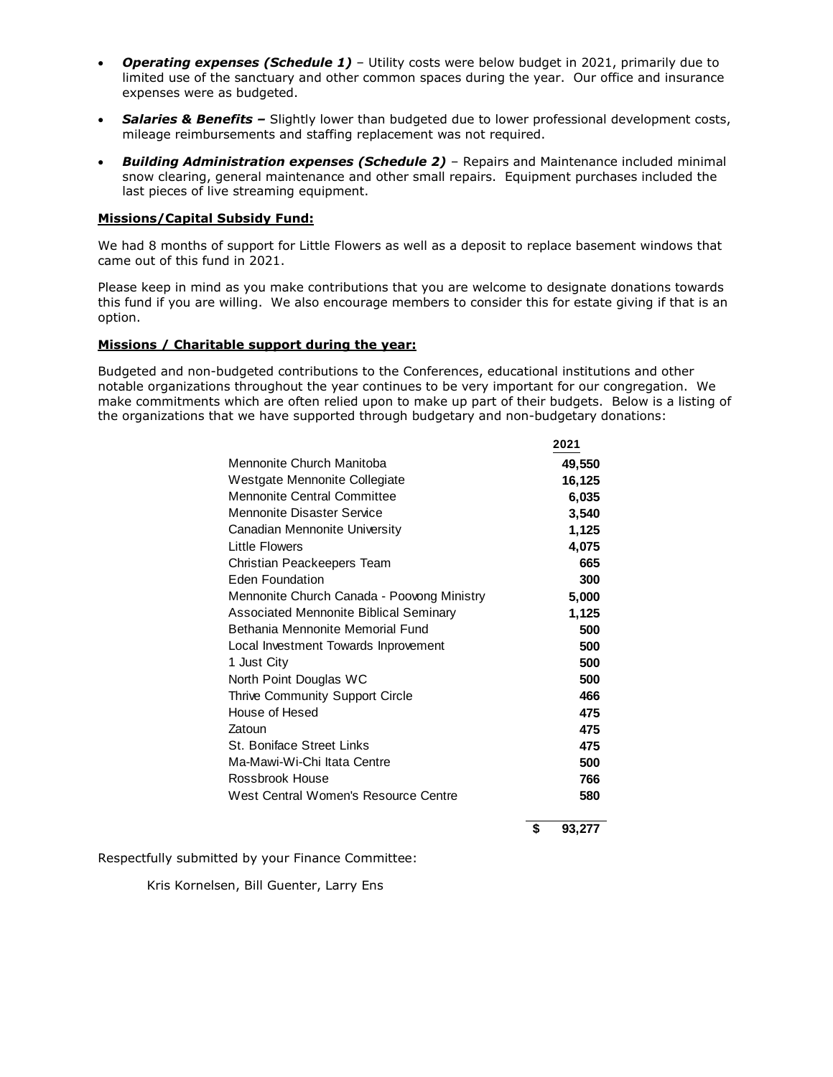- *Operating expenses (Schedule 1)* Utility costs were below budget in 2021, primarily due to limited use of the sanctuary and other common spaces during the year. Our office and insurance expenses were as budgeted.
- **Salaries & Benefits -** Slightly lower than budgeted due to lower professional development costs, mileage reimbursements and staffing replacement was not required.
- *Building Administration expenses (Schedule 2)* Repairs and Maintenance included minimal snow clearing, general maintenance and other small repairs. Equipment purchases included the last pieces of live streaming equipment.

#### **Missions/Capital Subsidy Fund:**

We had 8 months of support for Little Flowers as well as a deposit to replace basement windows that came out of this fund in 2021.

Please keep in mind as you make contributions that you are welcome to designate donations towards this fund if you are willing. We also encourage members to consider this for estate giving if that is an option.

#### **Missions / Charitable support during the year:**

Budgeted and non-budgeted contributions to the Conferences, educational institutions and other notable organizations throughout the year continues to be very important for our congregation. We make commitments which are often relied upon to make up part of their budgets. Below is a listing of the organizations that we have supported through budgetary and non-budgetary donations:

**2021**

|                                            | ZUZ I        |
|--------------------------------------------|--------------|
| Mennonite Church Manitoba                  | 49,550       |
| Westgate Mennonite Collegiate              | 16,125       |
| <b>Mennonite Central Committee</b>         | 6,035        |
| Mennonite Disaster Service                 | 3,540        |
| Canadian Mennonite University              | 1,125        |
| <b>Little Flowers</b>                      | 4,075        |
| Christian Peackeepers Team                 | 665          |
| Eden Foundation                            | 300          |
| Mennonite Church Canada - Poovong Ministry | 5,000        |
| Associated Mennonite Biblical Seminary     | 1,125        |
| Bethania Mennonite Memorial Fund           | 500          |
| Local Investment Towards Inprovement       | 500          |
| 1 Just City                                | 500          |
| North Point Douglas WC                     | 500          |
| Thrive Community Support Circle            | 466          |
| House of Hesed                             | 475          |
| Zatoun                                     | 475          |
| <b>St. Boniface Street Links</b>           | 475          |
| Ma-Mawi-Wi-Chi Itata Centre                | 500          |
| Rossbrook House                            | 766          |
| West Central Women's Resource Centre       | 580          |
|                                            | \$<br>93,277 |
|                                            |              |

Respectfully submitted by your Finance Committee:

Kris Kornelsen, Bill Guenter, Larry Ens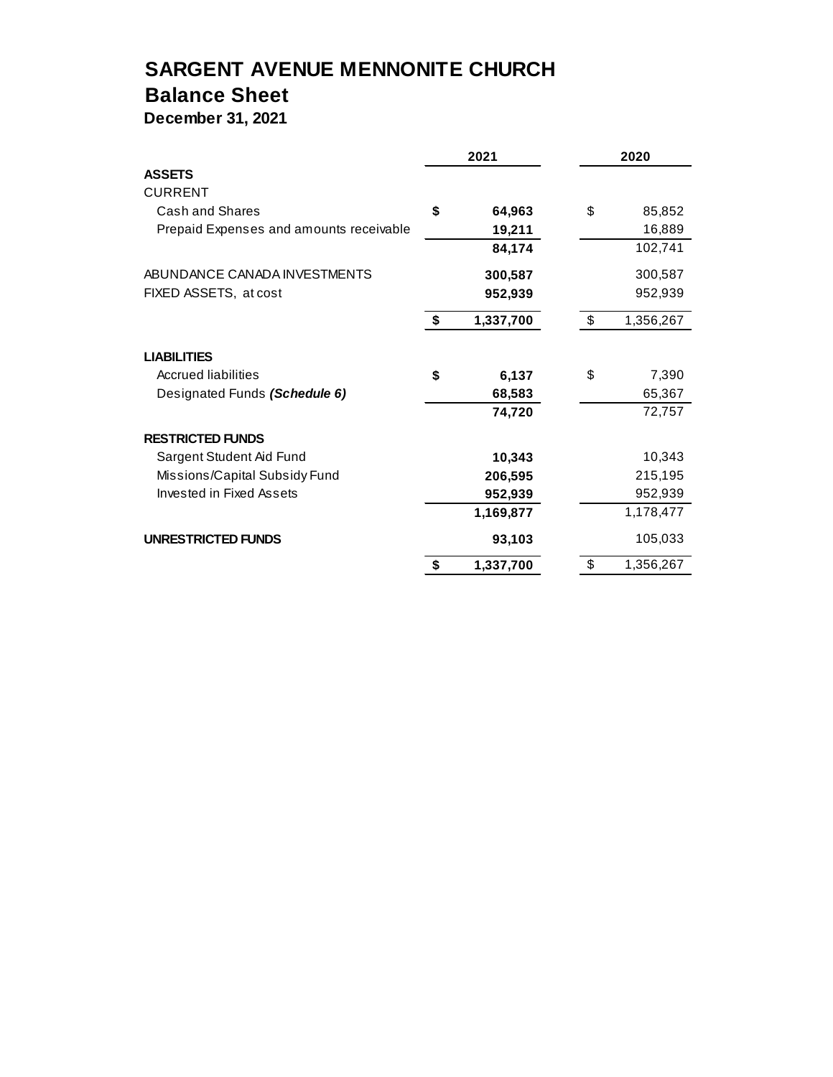# **SARGENT AVENUE MENNONITE CHURCH**

## **Balance Sheet**

**December 31, 2021**

|                                         | 2021            | 2020 |           |  |
|-----------------------------------------|-----------------|------|-----------|--|
| <b>ASSETS</b>                           |                 |      |           |  |
| <b>CURRENT</b>                          |                 |      |           |  |
| Cash and Shares                         | \$<br>64,963    | \$   | 85,852    |  |
| Prepaid Expenses and amounts receivable | 19,211          |      | 16,889    |  |
|                                         | 84,174          |      | 102,741   |  |
| ABUNDANCE CANADA INVESTMENTS            | 300,587         |      | 300,587   |  |
| FIXED ASSETS, at cost                   | 952,939         |      | 952,939   |  |
|                                         | \$<br>1,337,700 | \$   | 1,356,267 |  |
| <b>LIABILITIES</b>                      |                 |      |           |  |
| <b>Accrued liabilities</b>              | \$<br>6,137     | \$   | 7,390     |  |
| Designated Funds (Schedule 6)           | 68,583          |      | 65,367    |  |
|                                         | 74,720          |      | 72,757    |  |
| <b>RESTRICTED FUNDS</b>                 |                 |      |           |  |
| Sargent Student Aid Fund                | 10,343          |      | 10,343    |  |
| Missions/Capital Subsidy Fund           | 206,595         |      | 215,195   |  |
| Invested in Fixed Assets                | 952,939         |      | 952,939   |  |
|                                         | 1,169,877       |      | 1,178,477 |  |
| <b>UNRESTRICTED FUNDS</b>               | 93,103          |      | 105,033   |  |
|                                         | \$<br>1,337,700 | \$   | 1,356,267 |  |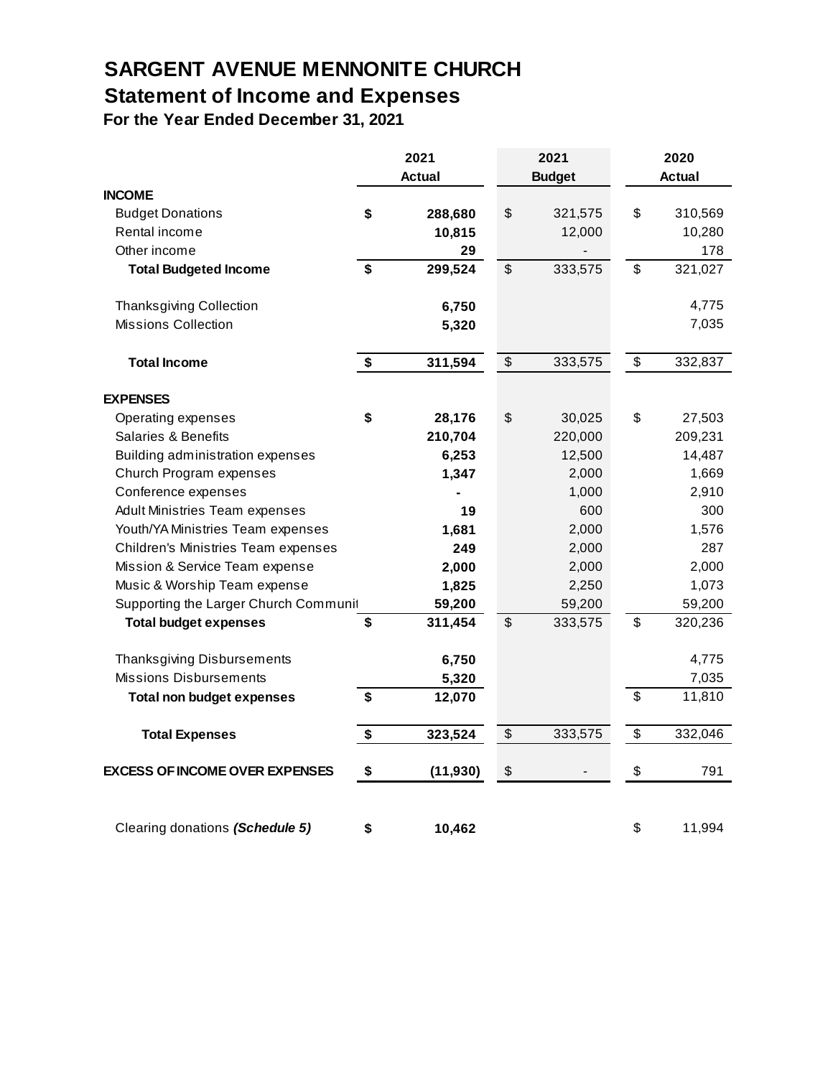# **SARGENT AVENUE MENNONITE CHURCH Statement of Income and Expenses**

**For the Year Ended December 31, 2021**

|                                       | 2021 |           |                                           | 2021          | 2020          |         |  |
|---------------------------------------|------|-----------|-------------------------------------------|---------------|---------------|---------|--|
|                                       |      | Actual    |                                           | <b>Budget</b> | <b>Actual</b> |         |  |
| <b>INCOME</b>                         |      |           |                                           |               |               |         |  |
| <b>Budget Donations</b>               | \$   | 288,680   | \$                                        | 321,575       | \$            | 310,569 |  |
| Rental income                         |      | 10,815    |                                           | 12,000        |               | 10,280  |  |
| Other income                          |      | 29        |                                           |               |               | 178     |  |
| <b>Total Budgeted Income</b>          | \$   | 299,524   | \$                                        | 333,575       | \$            | 321,027 |  |
| Thanksgiving Collection               |      | 6,750     |                                           |               |               | 4,775   |  |
| <b>Missions Collection</b>            |      | 5,320     |                                           |               |               | 7,035   |  |
| <b>Total Income</b>                   | \$   | 311,594   | \$                                        | 333,575       | \$            | 332,837 |  |
| <b>EXPENSES</b>                       |      |           |                                           |               |               |         |  |
| Operating expenses                    | \$   | 28,176    | \$                                        | 30,025        | \$            | 27,503  |  |
| Salaries & Benefits                   |      | 210,704   |                                           | 220,000       |               | 209,231 |  |
| Building administration expenses      |      | 6,253     |                                           | 12,500        |               | 14,487  |  |
| Church Program expenses               |      | 1,347     |                                           | 2,000         |               | 1,669   |  |
| Conference expenses                   |      |           |                                           | 1,000         |               | 2,910   |  |
| <b>Adult Ministries Team expenses</b> |      | 19        |                                           | 600           |               | 300     |  |
| Youth/YA Ministries Team expenses     |      | 1,681     |                                           | 2,000         |               | 1,576   |  |
| Children's Ministries Team expenses   |      | 249       |                                           | 2,000         |               | 287     |  |
| Mission & Service Team expense        |      | 2,000     |                                           | 2,000         |               | 2,000   |  |
| Music & Worship Team expense          |      | 1,825     |                                           | 2,250         |               | 1,073   |  |
| Supporting the Larger Church Communit |      | 59,200    |                                           | 59,200        |               | 59,200  |  |
| <b>Total budget expenses</b>          | \$   | 311,454   | \$                                        | 333,575       | \$            | 320,236 |  |
| <b>Thanksgiving Disbursements</b>     |      | 6,750     |                                           |               |               | 4,775   |  |
| <b>Missions Disbursements</b>         |      | 5,320     |                                           |               |               | 7,035   |  |
| <b>Total non budget expenses</b>      | \$   | 12,070    |                                           |               | \$            | 11,810  |  |
| <b>Total Expenses</b>                 | \$   | 323,524   | \$                                        | 333,575       | \$            | 332,046 |  |
| <b>EXCESS OF INCOME OVER EXPENSES</b> | \$   | (11, 930) | $\, \, \raisebox{12pt}{$\scriptstyle \$}$ |               | \$            | 791     |  |
|                                       |      |           |                                           |               |               |         |  |
| Clearing donations (Schedule 5)       | \$   | 10,462    |                                           |               | \$            | 11,994  |  |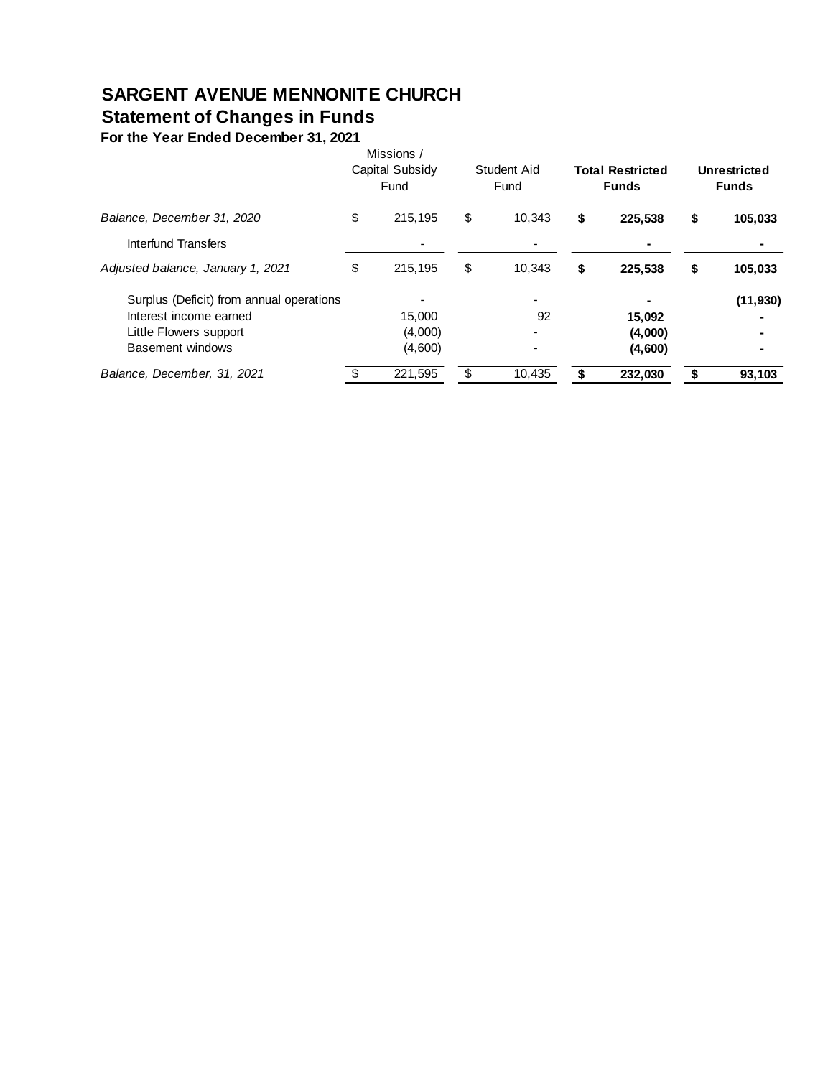### **SARGENT AVENUE MENNONITE CHURCH Statement of Changes in Funds**

**For the Year Ended December 31, 2021**

|                                          |    | Missions /<br>Capital Subsidy<br>Fund |    | Student Aid<br>Fund |    | <b>Total Restricted</b><br><b>Funds</b> |    | Unrestricted<br><b>Funds</b> |  |
|------------------------------------------|----|---------------------------------------|----|---------------------|----|-----------------------------------------|----|------------------------------|--|
| Balance, December 31, 2020               | \$ | 215,195                               | \$ | 10.343              | \$ | 225.538                                 | \$ | 105,033                      |  |
| Interfund Transfers                      |    |                                       |    |                     |    |                                         |    |                              |  |
| Adjusted balance, January 1, 2021        | \$ | 215.195                               | \$ | 10.343              | \$ | 225.538                                 | \$ | 105,033                      |  |
| Surplus (Deficit) from annual operations |    |                                       |    |                     |    |                                         |    | (11, 930)                    |  |
| Interest income earned                   |    | 15.000                                |    | 92                  |    | 15,092                                  |    |                              |  |
| Little Flowers support                   |    | (4,000)                               |    |                     |    | (4,000)                                 |    |                              |  |
| Basement windows                         |    | (4,600)                               |    |                     |    | (4,600)                                 |    |                              |  |
| Balance, December, 31, 2021              |    | 221,595                               | \$ | 10,435              |    | 232,030                                 |    | 93,103                       |  |